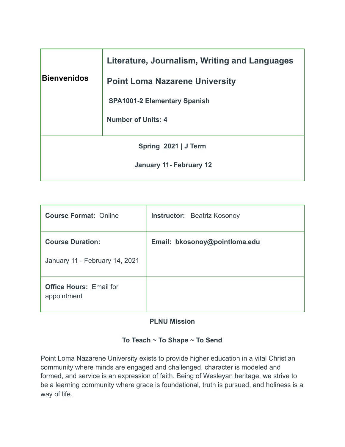|                         | Literature, Journalism, Writing and Languages |  |  |  |
|-------------------------|-----------------------------------------------|--|--|--|
| Bienvenidos             | <b>Point Loma Nazarene University</b>         |  |  |  |
|                         | <b>SPA1001-2 Elementary Spanish</b>           |  |  |  |
|                         | <b>Number of Units: 4</b>                     |  |  |  |
| Spring 2021   J Term    |                                               |  |  |  |
| January 11- February 12 |                                               |  |  |  |

| <b>Course Format: Online</b>                  | <b>Instructor:</b> Beatriz Kosonoy |  |  |
|-----------------------------------------------|------------------------------------|--|--|
| <b>Course Duration:</b>                       | Email: bkosonoy@pointloma.edu      |  |  |
| January 11 - February 14, 2021                |                                    |  |  |
| <b>Office Hours: Email for</b><br>appointment |                                    |  |  |

# **PLNU Mission**

# **To Teach ~ To Shape ~ To Send**

Point Loma Nazarene University exists to provide higher education in a vital Christian community where minds are engaged and challenged, character is modeled and formed, and service is an expression of faith. Being of Wesleyan heritage, we strive to be a learning community where grace is foundational, truth is pursued, and holiness is a way of life.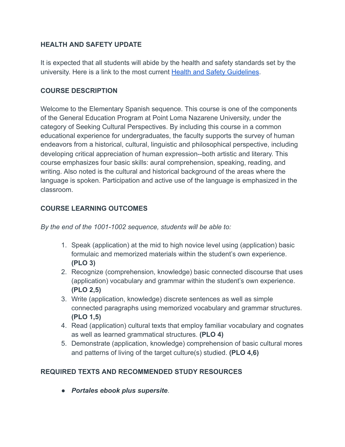## **HEALTH AND SAFETY UPDATE**

It is expected that all students will abide by the health and safety standards set by the university. Here is a link to the most current [Health and Safety Guidelines .](https://www.pointloma.edu/coronavirus-covid-19-information/healthy-safe-community)

# **COURSE DESCRIPTION**

Welcome to the Elementary Spanish sequence. This course is one of the components of the General Education Program at Point Loma Nazarene University, under the category of Seeking Cultural Perspectives. By including this course in a common educational experience for undergraduates, the faculty supports the survey of human endeavors from a historical, cultural, linguistic and philosophical perspective, including developing critical appreciation of human expression--both artistic and literary. This course emphasizes four basic skills: aural comprehension, speaking, reading, and writing. Also noted is the cultural and historical background of the areas where the language is spoken. Participation and active use of the language is emphasized in the classroom.

# **COURSE LEARNING OUTCOMES**

*By the end of the 1001-1002 sequence, students will be able to:* 

- 1. Speak (application) at the mid to high novice level using (application) basic formulaic and memorized materials within the student's own experience. **(PLO 3)**
- 2. Recognize (comprehension, knowledge) basic connected discourse that uses (application) vocabulary and grammar within the student's own experience. **(PLO 2,5)**
- 3. Write (application, knowledge) discrete sentences as well as simple connected paragraphs using memorized vocabulary and grammar structures. **(PLO 1,5)**
- 4. Read (application) cultural texts that employ familiar vocabulary and cognates as well as learned grammatical structures. **(PLO 4)**
- 5. Demonstrate (application, knowledge) comprehension of basic cultural mores and patterns of living of the target culture(s) studied. **(PLO 4,6)**

# **REQUIRED TEXTS AND RECOMMENDED STUDY RESOURCES**

● *Portales ebook plus supersite* .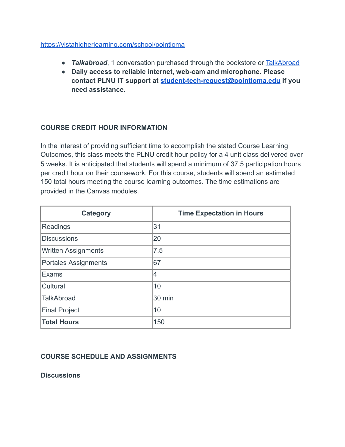#### <https://vistahigherlearning.com/school/pointloma>

- **Talkabroad**, 1 conversation purchased through the bookstore or TalkAbroad
- **Daily access to reliable internet, web-cam and microphone. Please contact PLNU IT support at [student-tech-request@pointloma.edu](https://mail.google.com/mail/?view=cm&fs=1&tf=1&to=student-tech-request@pointloma.edu) if you need assistance.**

## **COURSE CREDIT HOUR INFORMATION**

In the interest of providing sufficient time to accomplish the stated Course Learning Outcomes, this class meets the PLNU credit hour policy for a 4 unit class delivered over 5 weeks. It is anticipated that students will spend a minimum of 37.5 participation hours per credit hour on their coursework. For this course, students will spend an estimated 150 total hours meeting the course learning outcomes. The time estimations are provided in the Canvas modules.

| <b>Category</b>             | <b>Time Expectation in Hours</b> |  |  |
|-----------------------------|----------------------------------|--|--|
| Readings                    | 31                               |  |  |
| <b>Discussions</b>          | 20                               |  |  |
| <b>Written Assignments</b>  | 7.5                              |  |  |
| <b>Portales Assignments</b> | 67                               |  |  |
| Exams                       | $\overline{4}$                   |  |  |
| Cultural                    | 10                               |  |  |
| TalkAbroad                  | 30 min                           |  |  |
| <b>Final Project</b>        | 10                               |  |  |
| <b>Total Hours</b>          | 150                              |  |  |

### **COURSE SCHEDULE AND ASSIGNMENTS**

**Discussions**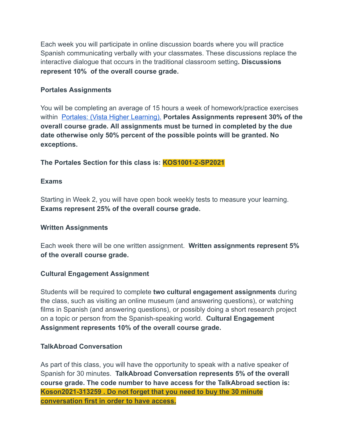Each week you will participate in online discussion boards where you will practice Spanish communicating verbally with your classmates. These discussions replace the interactive dialogue that occurs in the traditional classroom setting **. Discussions represent 10% of the overall course grade.** 

## **Portales Assignments**

You will be completing an average of 15 hours a week of homework/practice exercises within [Portales: \(Vista Higher Learning\).](https://www.vhlcentral.com/) **Portales Assignments represent 30% of the overall course grade. All assignments must be turned in completed by the due date otherwise only 50% percent of the possible points will be granted. No exceptions.** 

**The Portales Section for this class is: KOS1001-2-SP2021** 

## **Exams**

Starting in Week 2, you will have open book weekly tests to measure your learning. **Exams represent 25% of the overall course grade.** 

### **Written Assignments**

Each week there will be one written assignment. **Written assignments represent 5% of the overall course grade.** 

### **Cultural Engagement Assignment**

Students will be required to complete **two cultural engagement assignments** during the class, such as visiting an online museum (and answering questions), or watching films in Spanish (and answering questions), or possibly doing a short research project on a topic or person from the Spanish-speaking world. **Cultural Engagement Assignment represents 10% of the overall course grade.** 

### **TalkAbroad Conversation**

As part of this class, you will have the opportunity to speak with a native speaker of Spanish for 30 minutes. **TalkAbroad Conversation represents 5% of the overall course grade. The code number to have access for the TalkAbroad section is: Koson2021-313259 . Do not forget that you need to buy the 30 minute conversation first in order to have access.**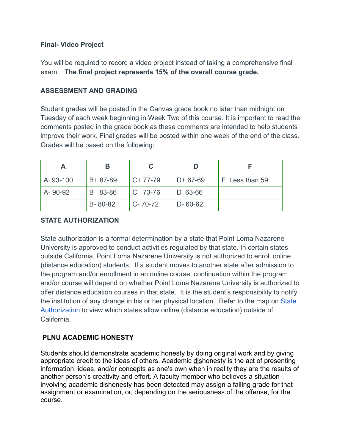#### **Final- Video Project**

You will be required to record a video project instead of taking a comprehensive final exam. **The final project represents 15% of the overall course grade.** 

## **ASSESSMENT AND GRADING**

Student grades will be posted in the Canvas grade book no later than midnight on Tuesday of each week beginning in Week Two of this course. It is important to read the comments posted in the grade book as these comments are intended to help students improve their work. Final grades will be posted within one week of the end of the class. Grades will be based on the following:

| A        | В             |               |               |                |
|----------|---------------|---------------|---------------|----------------|
| A 93-100 | $B + 87 - 89$ | $C+77-79$     | $D+67-69$     | F Less than 59 |
| A-90-92  | B 83-86       | $ C 73-76$    | D 63-66       |                |
|          | B-80-82       | $C - 70 - 72$ | $D - 60 - 62$ |                |

### **STATE AUTHORIZATION**

State authorization is a formal determination by a state that Point Loma Nazarene University is approved to conduct activities regulated by that state. In certain states outside California, Point Loma Nazarene University is not authorized to enroll online (distance education) students. If a student moves to another state after admission to the program and/or enrollment in an online course, continuation within the program and/or course will depend on whether Point Loma Nazarene University is authorized to offer distance education courses in that state. It is the student's responsibility to notify the institution of any change in his or her physical location. Refer to the map on [State](https://www.pointloma.edu/offices/office-institutional-effectiveness-research/disclosures)  [Authorization](https://www.pointloma.edu/offices/office-institutional-effectiveness-research/disclosures) to view which states allow online (distance education) outside of California.

### **PLNU ACADEMIC HONESTY**

Students should demonstrate academic honesty by doing original work and by giving appropriate credit to the ideas of others. Academic dishonesty is the act of presenting information, ideas, and/or concepts as one's own when in reality they are the results of another person's creativity and effort. A faculty member who believes a situation involving academic dishonesty has been detected may assign a failing grade for that assignment or examination, or, depending on the seriousness of the offense, for the course.